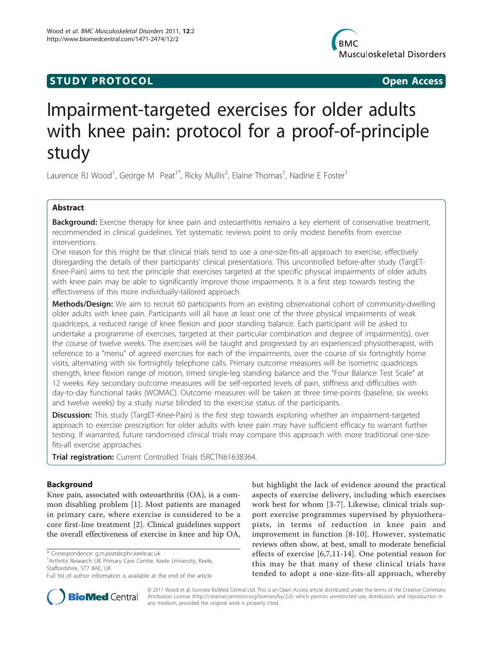# **STUDY PROTOCOL** CONTROL CONTROL CONTROL CONTROL CONTROL CONTROL CONTROL CONTROL CONTROL CONTROL CONTROL CONTROL CONTROL CONTROL CONTROL CONTROL CONTROL CONTROL CONTROL CONTROL CONTROL CONTROL CONTROL CONTROL CONTROL CONTR



# Impairment-targeted exercises for older adults with knee pain: protocol for a proof-of-principle study

Laurence RJ Wood<sup>1</sup>, George M Peat<sup>1\*</sup>, Ricky Mullis<sup>2</sup>, Elaine Thomas<sup>1</sup>, Nadine E Foster<sup>1</sup>

# Abstract

Background: Exercise therapy for knee pain and osteoarthritis remains a key element of conservative treatment, recommended in clinical guidelines. Yet systematic reviews point to only modest benefits from exercise interventions.

One reason for this might be that clinical trials tend to use a one-size-fits-all approach to exercise, effectively disregarding the details of their participants' clinical presentations. This uncontrolled before-after study (TargET-Knee-Pain) aims to test the principle that exercises targeted at the specific physical impairments of older adults with knee pain may be able to significantly improve those impairments. It is a first step towards testing the effectiveness of this more individually-tailored approach.

**Methods/Design:** We aim to recruit 60 participants from an existing observational cohort of community-dwelling older adults with knee pain. Participants will all have at least one of the three physical impairments of weak quadriceps, a reduced range of knee flexion and poor standing balance. Each participant will be asked to undertake a programme of exercises, targeted at their particular combination and degree of impairment(s), over the course of twelve weeks. The exercises will be taught and progressed by an experienced physiotherapist, with reference to a "menu" of agreed exercises for each of the impairments, over the course of six fortnightly home visits, alternating with six fortnightly telephone calls. Primary outcome measures will be isometric quadriceps strength, knee flexion range of motion, timed single-leg standing balance and the "Four Balance Test Scale" at 12 weeks. Key secondary outcome measures will be self-reported levels of pain, stiffness and difficulties with day-to-day functional tasks (WOMAC). Outcome measures will be taken at three time-points (baseline, six weeks and twelve weeks) by a study nurse blinded to the exercise status of the participants.

**Discussion:** This study (TargET-Knee-Pain) is the first step towards exploring whether an impairment-targeted approach to exercise prescription for older adults with knee pain may have sufficient efficacy to warrant further testing. If warranted, future randomised clinical trials may compare this approach with more traditional one-sizefits-all exercise approaches.

Trial registration: Current Controlled Trials ISRCTN61638364.

# Background

Knee pain, associated with osteoarthritis (OA), is a common disabling problem [[1\]](#page-5-0). Most patients are managed in primary care, where exercise is considered to be a core first-line treatment [\[2](#page-5-0)]. Clinical guidelines support the overall effectiveness of exercise in knee and hip OA,

<sup>1</sup> Arthritis Research UK Primary Care Centre, Keele University, Keele, Staffordshire, ST7 8AE, UK

Full list of author information is available at the end of the article





© 2011 Wood et al; licensee BioMed Central Ltd. This is an Open Access article distributed under the terms of the Creative Commons Attribution License [\(http://creativecommons.org/licenses/by/2.0](http://creativecommons.org/licenses/by/2.0)), which permits unrestricted use, distribution, and reproduction in any medium, provided the original work is properly cited.

<sup>\*</sup> Correspondence: [g.m.peat@cphc.keele.ac.uk](mailto:g.m.peat@cphc.keele.ac.uk)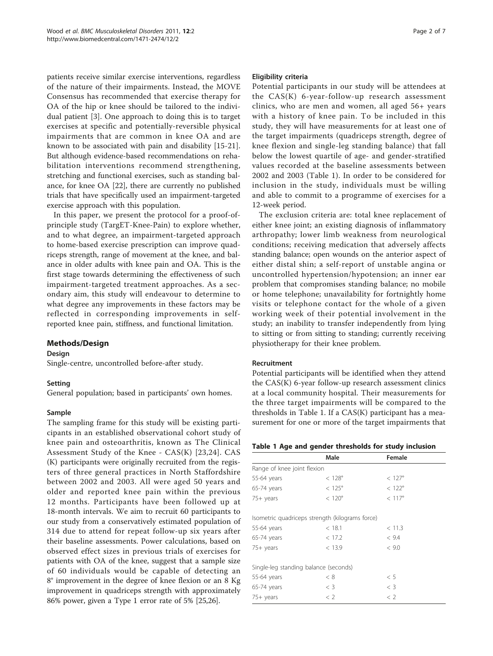<span id="page-1-0"></span>patients receive similar exercise interventions, regardless of the nature of their impairments. Instead, the MOVE Consensus has recommended that exercise therapy for OA of the hip or knee should be tailored to the individual patient [[3\]](#page-5-0). One approach to doing this is to target exercises at specific and potentially-reversible physical impairments that are common in knee OA and are known to be associated with pain and disability [[15-21](#page-6-0)]. But although evidence-based recommendations on rehabilitation interventions recommend strengthening, stretching and functional exercises, such as standing balance, for knee OA [[22\]](#page-6-0), there are currently no published trials that have specifically used an impairment-targeted exercise approach with this population.

In this paper, we present the protocol for a proof-ofprinciple study (TargET-Knee-Pain) to explore whether, and to what degree, an impairment-targeted approach to home-based exercise prescription can improve quadriceps strength, range of movement at the knee, and balance in older adults with knee pain and OA. This is the first stage towards determining the effectiveness of such impairment-targeted treatment approaches. As a secondary aim, this study will endeavour to determine to what degree any improvements in these factors may be reflected in corresponding improvements in selfreported knee pain, stiffness, and functional limitation.

# Methods/Design

# Design

Single-centre, uncontrolled before-after study.

# Setting

General population; based in participants' own homes.

#### Sample

The sampling frame for this study will be existing participants in an established observational cohort study of knee pain and osteoarthritis, known as The Clinical Assessment Study of the Knee - CAS(K) [\[23,24](#page-6-0)]. CAS (K) participants were originally recruited from the registers of three general practices in North Staffordshire between 2002 and 2003. All were aged 50 years and older and reported knee pain within the previous 12 months. Participants have been followed up at 18-month intervals. We aim to recruit 60 participants to our study from a conservatively estimated population of 314 due to attend for repeat follow-up six years after their baseline assessments. Power calculations, based on observed effect sizes in previous trials of exercises for patients with OA of the knee, suggest that a sample size of 60 individuals would be capable of detecting an 8° improvement in the degree of knee flexion or an 8 Kg improvement in quadriceps strength with approximately 86% power, given a Type 1 error rate of 5% [[25,26\]](#page-6-0).

#### Eligibility criteria

Potential participants in our study will be attendees at the CAS(K) 6-year-follow-up research assessment clinics, who are men and women, all aged 56+ years with a history of knee pain. To be included in this study, they will have measurements for at least one of the target impairments (quadriceps strength, degree of knee flexion and single-leg standing balance) that fall below the lowest quartile of age- and gender-stratified values recorded at the baseline assessments between 2002 and 2003 (Table 1). In order to be considered for inclusion in the study, individuals must be willing and able to commit to a programme of exercises for a 12-week period.

The exclusion criteria are: total knee replacement of either knee joint; an existing diagnosis of inflammatory arthropathy; lower limb weakness from neurological conditions; receiving medication that adversely affects standing balance; open wounds on the anterior aspect of either distal shin; a self-report of unstable angina or uncontrolled hypertension/hypotension; an inner ear problem that compromises standing balance; no mobile or home telephone; unavailability for fortnightly home visits or telephone contact for the whole of a given working week of their potential involvement in the study; an inability to transfer independently from lying to sitting or from sitting to standing; currently receiving physiotherapy for their knee problem.

#### Recruitment

Potential participants will be identified when they attend the CAS(K) 6-year follow-up research assessment clinics at a local community hospital. Their measurements for the three target impairments will be compared to the thresholds in Table 1. If a CAS(K) participant has a measurement for one or more of the target impairments that

| Table 1 Age and gender thresholds for study inclusion |  |  |  |  |  |  |  |  |  |
|-------------------------------------------------------|--|--|--|--|--|--|--|--|--|
|-------------------------------------------------------|--|--|--|--|--|--|--|--|--|

|                                                 | Male            | Female          |  |  |  |  |  |
|-------------------------------------------------|-----------------|-----------------|--|--|--|--|--|
| Range of knee joint flexion                     |                 |                 |  |  |  |  |  |
| 55-64 years                                     | $< 128^{\circ}$ | $< 127^{\circ}$ |  |  |  |  |  |
| 65-74 years                                     | $< 125^{\circ}$ | $< 122^{\circ}$ |  |  |  |  |  |
| 75+ years                                       | $< 120^{\circ}$ | $< 117^{\circ}$ |  |  |  |  |  |
| Isometric quadriceps strength (kilograms force) |                 |                 |  |  |  |  |  |
| 55-64 years                                     | < 18.1          | < 11.3          |  |  |  |  |  |
| 65-74 years                                     | < 17.2          | < 9.4           |  |  |  |  |  |
| 75+ years                                       | < 13.9          | < 9.0           |  |  |  |  |  |
| Single-leg standing balance (seconds)           |                 |                 |  |  |  |  |  |
| 55-64 years                                     | < 8             | < 5             |  |  |  |  |  |
| 65-74 years                                     | $<$ 3           | $<$ 3           |  |  |  |  |  |
| 75+ years                                       | < 2             | < 2             |  |  |  |  |  |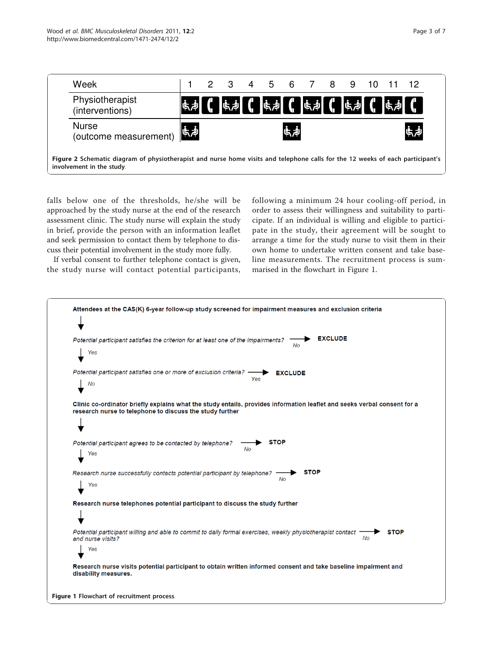<span id="page-2-0"></span>

falls below one of the thresholds, he/she will be approached by the study nurse at the end of the research assessment clinic. The study nurse will explain the study in brief, provide the person with an information leaflet and seek permission to contact them by telephone to discuss their potential involvement in the study more fully.

If verbal consent to further telephone contact is given, the study nurse will contact potential participants, following a minimum 24 hour cooling-off period, in order to assess their willingness and suitability to participate. If an individual is willing and eligible to participate in the study, their agreement will be sought to arrange a time for the study nurse to visit them in their own home to undertake written consent and take baseline measurements. The recruitment process is summarised in the flowchart in Figure 1.

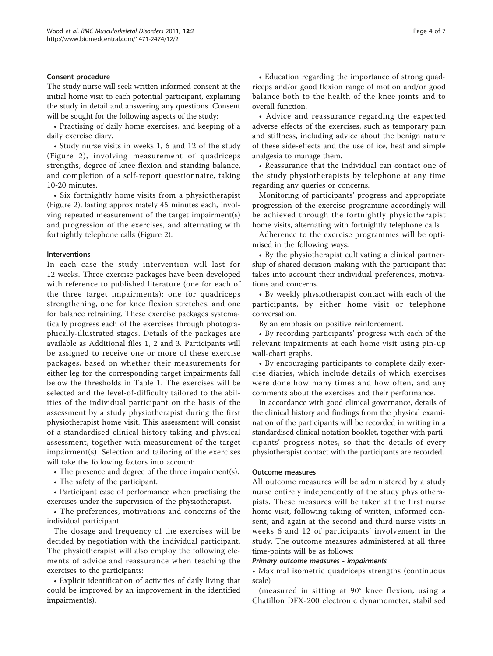#### Consent procedure

The study nurse will seek written informed consent at the initial home visit to each potential participant, explaining the study in detail and answering any questions. Consent will be sought for the following aspects of the study:

• Practising of daily home exercises, and keeping of a daily exercise diary.

• Study nurse visits in weeks 1, 6 and 12 of the study (Figure [2](#page-2-0)), involving measurement of quadriceps strengths, degree of knee flexion and standing balance, and completion of a self-report questionnaire, taking 10-20 minutes.

• Six fortnightly home visits from a physiotherapist (Figure [2\)](#page-2-0), lasting approximately 45 minutes each, involving repeated measurement of the target impairment(s) and progression of the exercises, and alternating with fortnightly telephone calls (Figure [2](#page-2-0)).

#### Interventions

In each case the study intervention will last for 12 weeks. Three exercise packages have been developed with reference to published literature (one for each of the three target impairments): one for quadriceps strengthening, one for knee flexion stretches, and one for balance retraining. These exercise packages systematically progress each of the exercises through photographically-illustrated stages. Details of the packages are available as Additional files [1, 2](#page-5-0) and [3](#page-5-0). Participants will be assigned to receive one or more of these exercise packages, based on whether their measurements for either leg for the corresponding target impairments fall below the thresholds in Table [1](#page-1-0). The exercises will be selected and the level-of-difficulty tailored to the abilities of the individual participant on the basis of the assessment by a study physiotherapist during the first physiotherapist home visit. This assessment will consist of a standardised clinical history taking and physical assessment, together with measurement of the target impairment(s). Selection and tailoring of the exercises will take the following factors into account:

• The presence and degree of the three impairment(s).

• The safety of the participant.

• Participant ease of performance when practising the exercises under the supervision of the physiotherapist.

• The preferences, motivations and concerns of the individual participant.

The dosage and frequency of the exercises will be decided by negotiation with the individual participant. The physiotherapist will also employ the following elements of advice and reassurance when teaching the exercises to the participants:

• Explicit identification of activities of daily living that could be improved by an improvement in the identified impairment(s).

• Education regarding the importance of strong quadriceps and/or good flexion range of motion and/or good balance both to the health of the knee joints and to overall function.

• Advice and reassurance regarding the expected adverse effects of the exercises, such as temporary pain and stiffness, including advice about the benign nature of these side-effects and the use of ice, heat and simple analgesia to manage them.

• Reassurance that the individual can contact one of the study physiotherapists by telephone at any time regarding any queries or concerns.

Monitoring of participants' progress and appropriate progression of the exercise programme accordingly will be achieved through the fortnightly physiotherapist home visits, alternating with fortnightly telephone calls.

Adherence to the exercise programmes will be optimised in the following ways:

• By the physiotherapist cultivating a clinical partnership of shared decision-making with the participant that takes into account their individual preferences, motivations and concerns.

• By weekly physiotherapist contact with each of the participants, by either home visit or telephone conversation.

By an emphasis on positive reinforcement.

• By recording participants' progress with each of the relevant impairments at each home visit using pin-up wall-chart graphs.

• By encouraging participants to complete daily exercise diaries, which include details of which exercises were done how many times and how often, and any comments about the exercises and their performance.

In accordance with good clinical governance, details of the clinical history and findings from the physical examination of the participants will be recorded in writing in a standardised clinical notation booklet, together with participants' progress notes, so that the details of every physiotherapist contact with the participants are recorded.

#### Outcome measures

All outcome measures will be administered by a study nurse entirely independently of the study physiotherapists. These measures will be taken at the first nurse home visit, following taking of written, informed consent, and again at the second and third nurse visits in weeks 6 and 12 of participants' involvement in the study. The outcome measures administered at all three time-points will be as follows:

### Primary outcome measures - impairments

• Maximal isometric quadriceps strengths (continuous scale)

(measured in sitting at 90° knee flexion, using a Chatillon DFX-200 electronic dynamometer, stabilised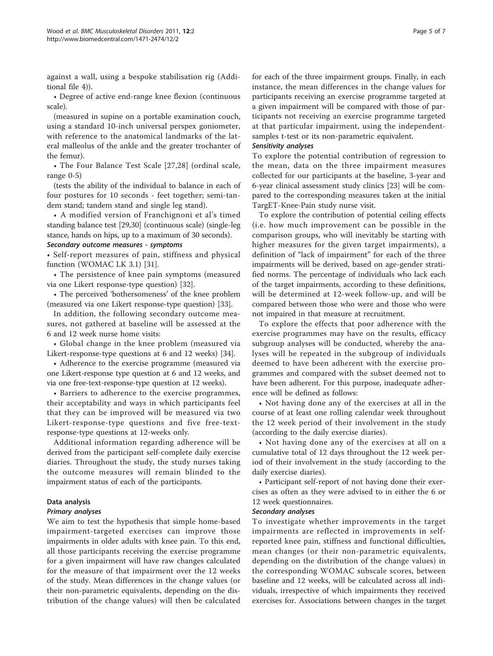against a wall, using a bespoke stabilisation rig (Additional file [4](#page-5-0))).

• Degree of active end-range knee flexion (continuous scale).

(measured in supine on a portable examination couch, using a standard 10-inch universal perspex goniometer, with reference to the anatomical landmarks of the lateral malleolus of the ankle and the greater trochanter of the femur).

• The Four Balance Test Scale [[27,28](#page-6-0)] (ordinal scale, range 0-5)

(tests the ability of the individual to balance in each of four postures for 10 seconds - feet together; semi-tandem stand; tandem stand and single leg stand).

• A modified version of Franchignoni et al's timed standing balance test [[29,30\]](#page-6-0) (continuous scale) (single-leg stance, hands on hips, up to a maximum of 30 seconds). Secondary outcome measures - symptoms

• Self-report measures of pain, stiffness and physical

function (WOMAC LK 3.1) [\[31\]](#page-6-0).

• The persistence of knee pain symptoms (measured via one Likert response-type question) [[32](#page-6-0)].

• The perceived 'bothersomeness' of the knee problem (measured via one Likert response-type question) [\[33\]](#page-6-0).

In addition, the following secondary outcome measures, not gathered at baseline will be assessed at the 6 and 12 week nurse home visits:

• Global change in the knee problem (measured via Likert-response-type questions at 6 and 12 weeks) [[34](#page-6-0)].

• Adherence to the exercise programme (measured via one Likert-response type question at 6 and 12 weeks, and via one free-text-response-type question at 12 weeks).

• Barriers to adherence to the exercise programmes, their acceptability and ways in which participants feel that they can be improved will be measured via two Likert-response-type questions and five free-textresponse-type questions at 12-weeks only.

Additional information regarding adherence will be derived from the participant self-complete daily exercise diaries. Throughout the study, the study nurses taking the outcome measures will remain blinded to the impairment status of each of the participants.

# Data analysis

# Primary analyses

We aim to test the hypothesis that simple home-based impairment-targeted exercises can improve those impairments in older adults with knee pain. To this end, all those participants receiving the exercise programme for a given impairment will have raw changes calculated for the measure of that impairment over the 12 weeks of the study. Mean differences in the change values (or their non-parametric equivalents, depending on the distribution of the change values) will then be calculated for each of the three impairment groups. Finally, in each instance, the mean differences in the change values for participants receiving an exercise programme targeted at a given impairment will be compared with those of participants not receiving an exercise programme targeted at that particular impairment, using the independentsamples t-test or its non-parametric equivalent.

# Sensitivity analyses

To explore the potential contribution of regression to the mean, data on the three impairment measures collected for our participants at the baseline, 3-year and 6-year clinical assessment study clinics [[23](#page-6-0)] will be compared to the corresponding measures taken at the initial TargET-Knee-Pain study nurse visit.

To explore the contribution of potential ceiling effects (i.e. how much improvement can be possible in the comparison groups, who will inevitably be starting with higher measures for the given target impairments), a definition of "lack of impairment" for each of the three impairments will be derived, based on age-gender stratified norms. The percentage of individuals who lack each of the target impairments, according to these definitions, will be determined at 12-week follow-up, and will be compared between those who were and those who were not impaired in that measure at recruitment.

To explore the effects that poor adherence with the exercise programmes may have on the results, efficacy subgroup analyses will be conducted, whereby the analyses will be repeated in the subgroup of individuals deemed to have been adherent with the exercise programmes and compared with the subset deemed not to have been adherent. For this purpose, inadequate adherence will be defined as follows:

• Not having done any of the exercises at all in the course of at least one rolling calendar week throughout the 12 week period of their involvement in the study (according to the daily exercise diaries).

• Not having done any of the exercises at all on a cumulative total of 12 days throughout the 12 week period of their involvement in the study (according to the daily exercise diaries).

• Participant self-report of not having done their exercises as often as they were advised to in either the 6 or 12 week questionnaires.

#### Secondary analyses

To investigate whether improvements in the target impairments are reflected in improvements in selfreported knee pain, stiffness and functional difficulties, mean changes (or their non-parametric equivalents, depending on the distribution of the change values) in the corresponding WOMAC subscale scores, between baseline and 12 weeks, will be calculated across all individuals, irrespective of which impairments they received exercises for. Associations between changes in the target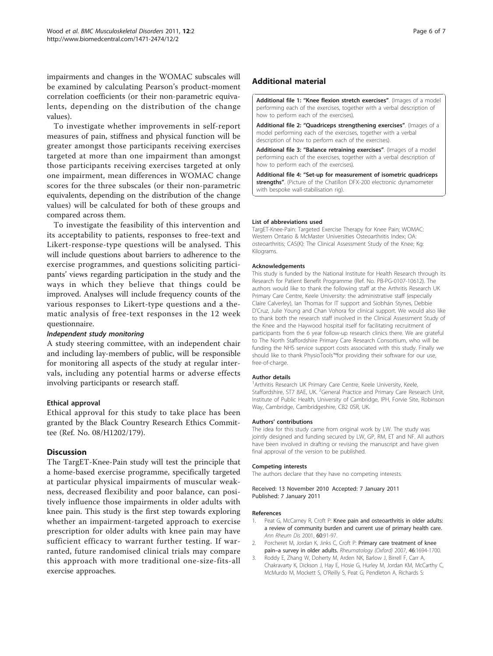<span id="page-5-0"></span>impairments and changes in the WOMAC subscales will be examined by calculating Pearson's product-moment correlation coefficients (or their non-parametric equivalents, depending on the distribution of the change values).

To investigate whether improvements in self-report measures of pain, stiffness and physical function will be greater amongst those participants receiving exercises targeted at more than one impairment than amongst those participants receiving exercises targeted at only one impairment, mean differences in WOMAC change scores for the three subscales (or their non-parametric equivalents, depending on the distribution of the change values) will be calculated for both of these groups and compared across them.

To investigate the feasibility of this intervention and its acceptability to patients, responses to free-text and Likert-response-type questions will be analysed. This will include questions about barriers to adherence to the exercise programmes, and questions soliciting participants' views regarding participation in the study and the ways in which they believe that things could be improved. Analyses will include frequency counts of the various responses to Likert-type questions and a thematic analysis of free-text responses in the 12 week questionnaire.

#### Independent study monitoring

A study steering committee, with an independent chair and including lay-members of public, will be responsible for monitoring all aspects of the study at regular intervals, including any potential harms or adverse effects involving participants or research staff.

# Ethical approval

Ethical approval for this study to take place has been granted by the Black Country Research Ethics Committee (Ref. No. 08/H1202/179).

# **Discussion**

The TargET-Knee-Pain study will test the principle that a home-based exercise programme, specifically targeted at particular physical impairments of muscular weakness, decreased flexibility and poor balance, can positively influence those impairments in older adults with knee pain. This study is the first step towards exploring whether an impairment-targeted approach to exercise prescription for older adults with knee pain may have sufficient efficacy to warrant further testing. If warranted, future randomised clinical trials may compare this approach with more traditional one-size-fits-all exercise approaches.

# Additional material

[Additional file 1:](http://www.biomedcentral.com/content/supplementary/1471-2474-12-2-S1.PDF) "Knee flexion stretch exercises". (Images of a model performing each of the exercises, together with a verbal description of how to perform each of the exercises).

[Additional file 2:](http://www.biomedcentral.com/content/supplementary/1471-2474-12-2-S2.PDF) "Quadriceps strengthening exercises". (Images of a model performing each of the exercises, together with a verbal description of how to perform each of the exercises).

[Additional file 3:](http://www.biomedcentral.com/content/supplementary/1471-2474-12-2-S3.PDF) "Balance retraining exercises". (Images of a model performing each of the exercises, together with a verbal description of how to perform each of the exercises).

[Additional file 4:](http://www.biomedcentral.com/content/supplementary/1471-2474-12-2-S4.PDF) "Set-up for measurement of isometric quadriceps strengths". (Picture of the Chatillon DFX-200 electronic dynamometer with bespoke wall-stabilisation rig).

#### List of abbreviations used

TargET-Knee-Pain: Targeted Exercise Therapy for Knee Pain; WOMAC: Western Ontario & McMaster Universities Osteoarthritis Index; OA: osteoarthritis; CAS(K): The Clinical Assessment Study of the Knee; Kg: Kilograms.

#### Acknowledgements

This study is funded by the National Institute for Health Research through its Research for Patient Benefit Programme (Ref. No. PB-PG-0107-10612). The authors would like to thank the following staff at the Arthritis Research UK Primary Care Centre, Keele University: the administrative staff (especially Claire Calverley), Ian Thomas for IT support and Siobhán Stynes, Debbie D'Cruz, Julie Young and Chan Vohora for clinical support. We would also like to thank both the research staff involved in the Clinical Assessment Study of the Knee and the Haywood hospital itself for facilitating recruitment of participants from the 6 year follow-up research clinics there. We are grateful to The North Staffordshire Primary Care Research Consortium, who will be funding the NHS service support costs associated with this study. Finally we should like to thank PhysioTools™for providing their software for our use, free-of-charge.

#### Author details

<sup>1</sup> Arthritis Research UK Primary Care Centre, Keele University, Keele, Staffordshire, ST7 8AE, UK. <sup>2</sup>General Practice and Primary Care Research Unit Institute of Public Health, University of Cambridge, IPH, Forvie Site, Robinson Way, Cambridge, Cambridgeshire, CB2 0SR, UK.

#### Authors' contributions

The idea for this study came from original work by LW. The study was jointly designed and funding secured by LW, GP, RM, ET and NF. All authors have been involved in drafting or revising the manuscript and have given final approval of the version to be published.

#### Competing interests

The authors declare that they have no competing interests.

Received: 13 November 2010 Accepted: 7 January 2011 Published: 7 January 2011

#### References

- 1. Peat G, McCarney R, Croft P: [Knee pain and osteoarthritis in older adults:](http://www.ncbi.nlm.nih.gov/pubmed/11156538?dopt=Abstract) [a review of community burden and current use of primary health care.](http://www.ncbi.nlm.nih.gov/pubmed/11156538?dopt=Abstract) Ann Rheum Dis 2001, 60:91-97.
- 2. Porcheret M, Jordan K, Jinks C, Croft P: [Primary care treatment of knee](http://www.ncbi.nlm.nih.gov/pubmed/17938135?dopt=Abstract) pain-[a survey in older adults.](http://www.ncbi.nlm.nih.gov/pubmed/17938135?dopt=Abstract) Rheumatology (Oxford) 2007, 46:1694-1700.
- 3. Roddy E, Zhang W, Doherty M, Arden NK, Barlow J, Birrell F, Carr A, Chakravarty K, Dickson J, Hay E, Hosie G, Hurley M, Jordan KM, McCarthy C, McMurdo M, Mockett S, O'Reilly S, Peat G, Pendleton A, Richards S: